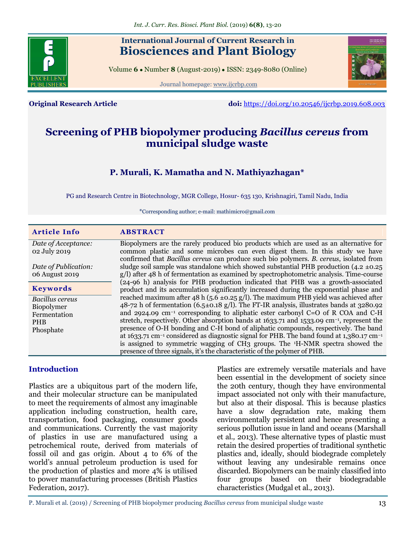

# **International Journal of Current Research in Biosciences and Plant Biology**

Volume **6** ● Number **8** (August-2019) ● ISSN: 2349-8080 (Online)

Journal homepage: [www.ijcrbp.com](http://www.ijcrbp.com/)



**Original Research Article doi:** <https://doi.org/10.20546/ijcrbp.2019.608.003>

# **Screening of PHB biopolymer producing** *Bacillus cereus* **from municipal sludge waste**

# **P. Murali, K. Mamatha and N. Mathiyazhagan\***

PG and Research Centre in Biotechnology, MGR College, Hosur- 635 130, Krishnagiri, Tamil Nadu, India

\*Corresponding author; e-mail: mathi.micro@gmail.com

| <b>Article Info</b>    | <b>ABSTRACT</b>                                                                                                  |
|------------------------|------------------------------------------------------------------------------------------------------------------|
| Date of Acceptance:    | Biopolymers are the rarely produced bio products which are used as an alternative for                            |
| 02 July 2019           | common plastic and some microbes can even digest them. In this study we have                                     |
|                        | confirmed that <i>Bacillus cereus</i> can produce such bio polymers. <i>B. cereus</i> , isolated from            |
| Date of Publication:   | sludge soil sample was standalone which showed substantial PHB production $(4.2 \pm 0.25)$                       |
| 06 August 2019         | $g/l$ ) after 48 h of fermentation as examined by spectrophotometric analysis. Time-course                       |
|                        | (24-96 h) analysis for PHB production indicated that PHB was a growth-associated                                 |
| <b>Keywords</b>        | product and its accumulation significantly increased during the exponential phase and                            |
| <b>Bacillus</b> cereus | reached maximum after 48 h (5.6 $\pm$ 0.25 g/l). The maximum PHB yield was achieved after                        |
| Biopolymer             | 48-72 h of fermentation (6.5±0.18 g/l). The FT-IR analysis, illustrates bands at 3280.92                         |
| Fermentation           | and 2924.09 cm <sup>-1</sup> corresponding to aliphatic ester carbonyl C=O of R COA and C-H                      |
| <b>PHB</b>             | stretch, respectively. Other absorption bands at $1633.71$ and $1533.09$ cm <sup>-1</sup> , represent the        |
| Phosphate              | presence of O-H bonding and C-H bond of aliphatic compounds, respectively. The band                              |
|                        | at 1633.71 cm <sup>-1</sup> considered as diagnostic signal for PHB. The band found at 1,380.17 cm <sup>-1</sup> |
|                        | is assigned to symmetric wagging of CH3 groups. The <sup>1</sup> H-NMR spectra showed the                        |
|                        | presence of three signals, it's the characteristic of the polymer of PHB.                                        |

# **Introduction**

Plastics are a ubiquitous part of the modern life, and their molecular structure can be manipulated to meet the requirements of almost any imaginable application including construction, health care, transportation, food packaging, consumer goods and communications. Currently the vast majority of plastics in use are manufactured using a petrochemical route, derived from materials of fossil oil and gas origin. About 4 to 6% of the world's annual petroleum production is used for the production of plastics and more 4% is utilised to power manufacturing processes (British Plastics Federation, 2017).

Plastics are extremely versatile materials and have been essential in the development of society since the 20th century, though they have environmental impact associated not only with their manufacture, but also at their disposal. This is because plastics have a slow degradation rate, making them environmentally persistent and hence presenting a serious pollution issue in land and oceans (Marshall et al*.,* 2013). These alternative types of plastic must retain the desired properties of traditional synthetic plastics and, ideally, should biodegrade completely without leaving any undesirable remains once discarded. Biopolymers can be mainly classified into four groups based on their biodegradable characteristics (Mudgal et al*.,* 2013).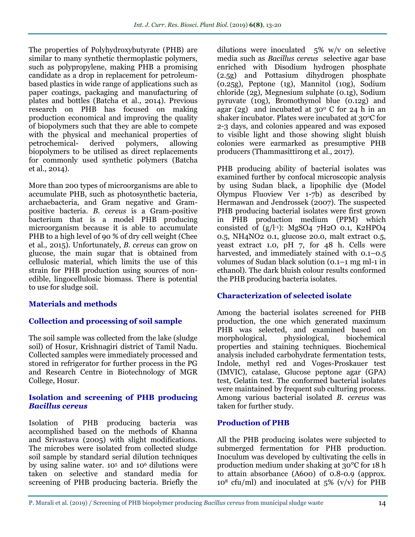The properties of Polyhydroxybutyrate (PHB) are similar to many synthetic thermoplastic polymers, such as polypropylene, making PHB a promising candidate as a drop in replacement for petroleumbased plastics in wide range of applications such as paper coatings, packaging and manufacturing of plates and bottles (Batcha et al*.,* 2014). Previous research on PHB has focused on making production economical and improving the quality of biopolymers such that they are able to compete with the physical and mechanical properties of petrochemical- derived polymers, allowing biopolymers to be utilised as direct replacements for commonly used synthetic polymers (Batcha et al*.,* 2014).

More than 200 types of microorganisms are able to accumulate PHB, such as photosynthetic bacteria, archaebacteria, and Gram negative and Grampositive bacteria. *B. cereus* is a Gram-positive bacterium that is a model PHB producing microorganism because it is able to accumulate PHB to a high level of 90 % of dry cell weight (Chee et al*.,* 2015). Unfortunately, *B. cereus* can grow on glucose, the main sugar that is obtained from cellulosic material, which limits the use of this strain for PHB production using sources of nonedible, lingocellulosic biomass. There is potential to use for sludge soil.

# **Materials and methods**

# **Collection and processing of soil sample**

The soil sample was collected from the lake (sludge soil) of Hosur, Krishnagiri district of Tamil Nadu. Collected samples were immediately processed and stored in refrigerator for further process in the PG and Research Centre in Biotechnology of MGR College, Hosur.

#### **Isolation and screening of PHB producing**  *Bacillus cereus*

Isolation of PHB producing bacteria was accomplished based on the methods of Khanna and Srivastava (2005) with slight modifications. The microbes were isolated from collected sludge soil sample by standard serial dilution techniques by using saline water. 10<sup>5</sup> and 106 dilutions were taken on selective and standard media for screening of PHB producing bacteria. Briefly the

dilutions were inoculated 5% w/v on selective media such as *Bacillus cereus* selective agar base enriched with Disodium hydrogen phosphate (2.5g) and Pottasium dihydrogen phosphate (0.25g), Peptone (1g), Mannitol (10g), Sodium chloride (2g), Megnesium sulphate (0.1g), Sodium pyruvate (10g), Bromothymol blue (0.12g) and agar (2g) and incubated at  $30^{\circ}$  C for 24 h in an shaker incubator. Plates were incubated at 30 °C for 2-3 days, and colonies appeared and was exposed to visible light and those showing slight bluish colonies were earmarked as presumptive PHB producers (Thammasittirong et al*.,* 2017).

PHB producing ability of bacterial isolates was examined further by confocal microscopic analysis by using Sudan black, a lipophilic dye (Model Olympus Fluoview Ver 1-7b) as described by Hermawan and Jendrossek (2007). The suspected PHB producing bacterial isolates were first grown in PHB production medium (PPM) which consisted of  $(g/I^{-1})$ : MgSO4 7H2O 0.1, K2HPO4 0.5, NH4NO2 0.1, glucose 20.0, malt extract 0.5, yeast extract 1.0, pH 7, for 48 h. Cells were harvested, and immediately stained with 0.1–0.5 volumes of Sudan black solution (0.1–1 mg ml-1 in ethanol). The dark bluish colour results conformed the PHB producing bacteria isolates.

# **Characterization of selected isolate**

Among the bacterial isolates screened for PHB production, the one which generated maximum PHB was selected, and examined based on morphological, physiological, biochemical properties and staining techniques. Biochemical analysis included carbohydrate fermentation tests, Indole, methyl red and Voges-Proskauer test (IMVIC), catalase, Glucose peptone agar (GPA) test, Gelatin test. The conformed bacterial isolates were maintained by frequent sub culturing process. Among various bacterial isolated *B. cereus* was taken for further study.

# **Production of PHB**

All the PHB producing isolates were subjected to submerged fermentation for PHB production. Inoculum was developed by cultivating the cells in production medium under shaking at 30°C for 18 h to attain absorbance (A600) of 0.8-0.9 (approx.  $10^8$  cfu/ml) and inoculated at  $5\%$  (v/v) for PHB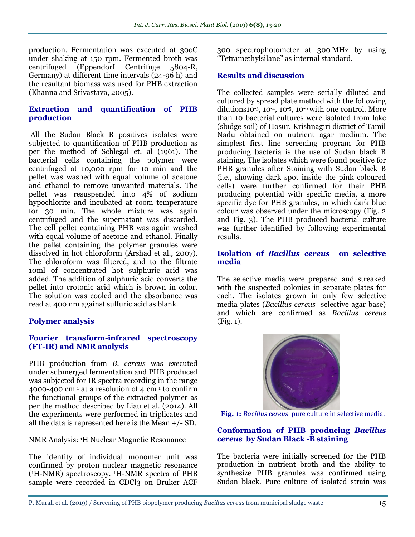production. Fermentation was executed at 30oC under shaking at 150 rpm. Fermented broth was centrifuged (Eppendorf Centrifuge 5804-R, Germany) at different time intervals (24-96 h) and the resultant biomass was used for PHB extraction (Khanna and Srivastava, 2005).

### **Extraction and quantification of PHB production**

All the Sudan Black B positives isolates were subjected to quantification of PHB production as per the method of Schlegal et. al (1961). The bacterial cells containing the polymer were centrifuged at 10,000 rpm for 10 min and the pellet was washed with equal volume of acetone and ethanol to remove unwanted materials. The pellet was resuspended into 4% of sodium hypochlorite and incubated at room temperature for 30 min. The whole mixture was again centrifuged and the supernatant was discarded. The cell pellet containing PHB was again washed with equal volume of acetone and ethanol. Finally the pellet containing the polymer granules were dissolved in hot chloroform (Arshad et al*.,* 2007). The chloroform was filtered, and to the filtrate 10ml of concentrated hot sulphuric acid was added. The addition of sulphuric acid converts the pellet into crotonic acid which is brown in color. The solution was cooled and the absorbance was read at 400 nm against sulfuric acid as blank.

#### **Polymer analysis**

### **Fourier transform-infrared spectroscopy (FT-IR) and NMR analysis**

PHB production from *B. cereus* was executed under submerged fermentation and PHB produced was subjected for IR spectra recording in the range 4000-400  $\text{cm}$ <sup>1</sup> at a resolution of 4  $\text{cm}$ <sup>1</sup> to confirm the functional groups of the extracted polymer as per the method described by Liau et al*.* (2014). All the experiments were performed in triplicates and all the data is represented here is the Mean +/- SD.

NMR Analysis: 1H Nuclear Magnetic Resonance

The identity of individual monomer unit was confirmed by proton nuclear magnetic resonance ( <sup>1</sup>H-NMR) spectroscopy. 1H-NMR spectra of PHB sample were recorded in CDCl3 on Bruker ACF

300 spectrophotometer at 300 MHz by using "Tetramethylsilane" as internal standard.

#### **Results and discussion**

The collected samples were serially diluted and cultured by spread plate method with the following dilutions10<sup>-3</sup>, 10<sup>-4</sup>, 10<sup>-5</sup>, 10<sup>-6</sup> with one control. More than 10 bacterial cultures were isolated from lake (sludge soil) of Hosur, Krishnagiri district of Tamil Nadu obtained on nutrient agar medium. The simplest first line screening program for PHB producing bacteria is the use of Sudan black B staining. The isolates which were found positive for PHB granules after Staining with Sudan black B (i.e., showing dark spot inside the pink coloured cells) were further confirmed for their PHB producing potential with specific media, a more specific dye for PHB granules, in which dark blue colour was observed under the microscopy (Fig. 2 and Fig. 3). The PHB produced bacterial culture was further identified by following experimental results.

#### **Isolation of** *Bacillus cereus* **on selective media**

The selective media were prepared and streaked with the suspected colonies in separate plates for each. The isolates grown in only few selective media plates (*Bacillus cereus* selective agar base) and which are confirmed as *Bacillus cereus*  (Fig. 1).



 **Fig. 1:** *Bacillus cereus* pure culture in selective media.

#### **Conformation of PHB producing** *Bacillus cereus* **by Sudan Black -B staining**

The bacteria were initially screened for the PHB production in nutrient broth and the ability to synthesize PHB granules was confirmed using Sudan black. Pure culture of isolated strain was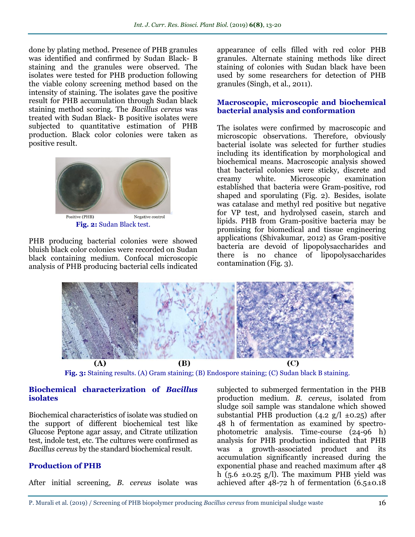done by plating method. Presence of PHB granules was identified and confirmed by Sudan Black- B staining and the granules were observed. The isolates were tested for PHB production following the viable colony screening method based on the intensity of staining. The isolates gave the positive result for PHB accumulation through Sudan black staining method scoring. The *Bacillus cereus* was treated with Sudan Black- B positive isolates were subjected to quantitative estimation of PHB production. Black color colonies were taken as positive result.



**Fig. 2:** Sudan Black test.

PHB producing bacterial colonies were showed bluish black color colonies were recorded on Sudan black containing medium. Confocal microscopic analysis of PHB producing bacterial cells indicated

appearance of cells filled with red color PHB granules. Alternate staining methods like direct staining of colonies with Sudan black have been used by some researchers for detection of PHB granules (Singh, et al*.,* 2011).

#### **Macroscopic, microscopic and biochemical bacterial analysis and conformation**

The isolates were confirmed by macroscopic and microscopic observations. Therefore, obviously bacterial isolate was selected for further studies including its identification by morphological and biochemical means. Macroscopic analysis showed that bacterial colonies were sticky, discrete and creamy white. Microscopic examination established that bacteria were Gram-positive, rod shaped and sporulating (Fig. 2). Besides, isolate was catalase and methyl red positive but negative for VP test, and hydrolysed casein, starch and lipids. PHB from Gram-positive bacteria may be promising for biomedical and tissue engineering applications (Shivakumar, 2012) as Gram-positive bacteria are devoid of lipopolysaccharides and there is no chance of lipopolysaccharides contamination (Fig. 3).



**Fig. 3:** Staining results. (A) Gram staining; (B) Endospore staining; (C) Sudan black B staining.

#### **Biochemical characterization of** *Bacillus* **isolates**

Biochemical characteristics of isolate was studied on the support of different biochemical test like Glucose Peptone agar assay, and Citrate utilization test, indole test, etc. The cultures were confirmed as *Bacillus cereus* by the standard biochemical result.

# **Production of PHB**

After initial screening, *B. cereus* isolate was

subjected to submerged fermentation in the PHB production medium. *B. cereus*, isolated from sludge soil sample was standalone which showed substantial PHB production  $(4.2 \text{ g/l } \pm 0.25)$  after 48 h of fermentation as examined by spectrophotometric analysis. Time-course (24-96 h) analysis for PHB production indicated that PHB was a growth-associated product and its accumulation significantly increased during the exponential phase and reached maximum after 48 h (5.6  $\pm$ 0.25 g/l). The maximum PHB yield was achieved after  $48-72$  h of fermentation  $(6.5\pm0.18)$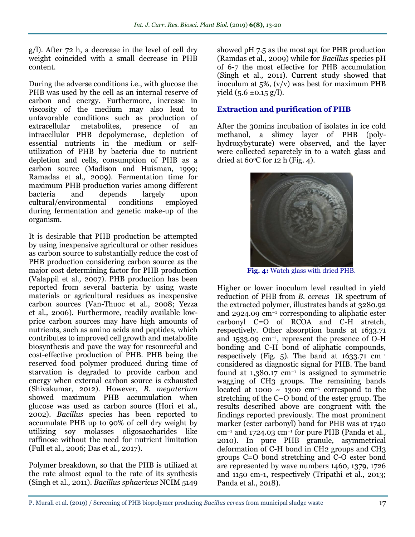g/l). After 72 h, a decrease in the level of cell dry weight coincided with a small decrease in PHB content.

During the adverse conditions i.e., with glucose the PHB was used by the cell as an internal reserve of carbon and energy. Furthermore, increase in viscosity of the medium may also lead to unfavorable conditions such as production of extracellular metabolites, presence of an intracellular PHB depolymerase, depletion of essential nutrients in the medium or selfutilization of PHB by bacteria due to nutrient depletion and cells, consumption of PHB as a carbon source (Madison and Huisman, 1999; Ramadas et al*.,* 2009). Fermentation time for maximum PHB production varies among different bacteria and depends largely upon cultural/environmental conditions employed during fermentation and genetic make-up of the organism.

It is desirable that PHB production be attempted by using inexpensive agricultural or other residues as carbon source to substantially reduce the cost of PHB production considering carbon source as the major cost determining factor for PHB production (Valappil et al*.,* 2007). PHB production has been reported from several bacteria by using waste materials or agricultural residues as inexpensive carbon sources (Van-Thuoc et al*.,* 2008; Yezza et al*.,* 2006). Furthermore, readily available lowprice carbon sources may have high amounts of nutrients, such as amino acids and peptides, which contributes to improved cell growth and metabolite biosynthesis and pave the way for resourceful and cost-effective production of PHB. PHB being the reserved food polymer produced during time of starvation is degraded to provide carbon and energy when external carbon source is exhausted (Shivakumar, 2012). However, *B. megaterium*  showed maximum PHB accumulation when glucose was used as carbon source (Hori et al*.,* 2002). *Bacillus* species has been reported to accumulate PHB up to 90% of cell dry weight by utilizing soy molasses oligosaccharides like raffinose without the need for nutrient limitation (Full et al*.,* 2006; Das et al*.,* 2017).

Polymer breakdown, so that the PHB is utilized at the rate almost equal to the rate of its synthesis (Singh et al*.,* 2011). *Bacillus sphaericus* NCIM 5149

showed pH 7.5 as the most apt for PHB production (Ramdas et al*.,* 2009) while for *Bacillus* species pH of 6-7 the most effective for PHB accumulation (Singh et al*.,* 2011). Current study showed that inoculum at  $5\%$ ,  $(v/v)$  was best for maximum PHB yield  $(5.6 \pm 0.15 \text{ g/l})$ .

# **Extraction and purification of PHB**

After the 30mins incubation of isolates in ice cold methanol, a slimey layer of PHB (polyhydroxybyturate) were observed, and the layer were collected separetely in to a watch glass and dried at  $60^{\circ}$ C for 12 h (Fig. 4).



**Fig. 4:** Watch glass with dried PHB.

Higher or lower inoculum level resulted in yield reduction of PHB from *B. cereus* IR spectrum of the extracted polymer, illustrates bands at 3280.92 and 2924.09 cm−1 corresponding to aliphatic ester carbonyl C=O of RCOA and C-H stretch, respectively. Other absorption bands at 1633.71 and 1533.09 cm−1, represent the presence of O-H bonding and C-H bond of aliphatic compounds, respectively (Fig. 5). The band at  $1633.71$  cm<sup>-1</sup> considered as diagnostic signal for PHB. The band found at 1,380.17 cm−1 is assigned to symmetric wagging of CH3 groups. The remaining bands located at 1000 ~ 1300 cm−1 correspond to the stretching of the C–O bond of the ester group. The results described above are congruent with the findings reported previously. The most prominent marker (ester carbonyl) band for PHB was at 1740 cm−1 and 1724.03 cm−1 for pure PHB (Panda et al*.,*  2010). In pure PHB granule, asymmetrical deformation of C-H bond in CH2 groups and CH3 groups C=O bond stretching and C-O ester bond are represented by wave numbers 1460, 1379, 1726 and 1150 cm-1, respectively (Tripathi et al., 2013; Panda et al., 2018).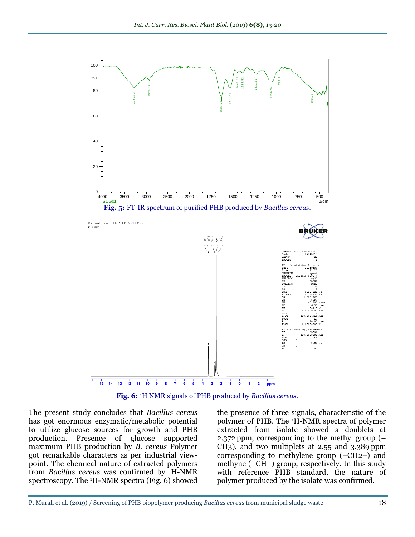

**Fig. 6:** 1H NMR signals of PHB produced by *Bacillus cereus.*

The present study concludes that *Bacillus cereus*  has got enormous enzymatic/metabolic potential to utilize glucose sources for growth and PHB production. Presence of glucose supported maximum PHB production by *B. cereus* Polymer got remarkable characters as per industrial viewpoint. The chemical nature of extracted polymers from *Bacillus cereus* was confirmed by 1H-NMR spectroscopy. The 1H-NMR spectra (Fig. 6) showed

the presence of three signals, characteristic of the polymer of PHB. The 1H-NMR spectra of polymer extracted from isolate showed a doublets at 2.372 ppm, corresponding to the methyl group (– CH3), and two multiplets at 2.55 and 3.389 ppm corresponding to methylene group (–CH2–) and methyne (–CH–) group, respectively. In this study with reference PHB standard, the nature of polymer produced by the isolate was confirmed.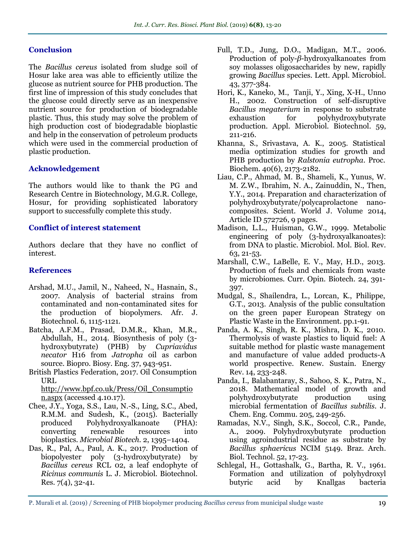#### **Conclusion**

The *Bacillus cereus* isolated from sludge soil of Hosur lake area was able to efficiently utilize the glucose as nutrient source for PHB production. The first line of impression of this study concludes that the glucose could directly serve as an inexpensive nutrient source for production of biodegradable plastic. Thus, this study may solve the problem of high production cost of biodegradable bioplastic and help in the conservation of petroleum products which were used in the commercial production of plastic production.

### **Acknowledgement**

The authors would like to thank the PG and Research Centre in Biotechnology, M.G.R. College, Hosur, for providing sophisticated laboratory support to successfully complete this study.

### **Conflict of interest statement**

Authors declare that they have no conflict of interest.

## **References**

- Arshad, M.U., Jamil, N., Naheed, N., Hasnain, S., 2007. Analysis of bacterial strains from contaminated and non-contaminated sites for the production of biopolymers. Afr. J. Biotechnol. 6, 1115-1121.
- Batcha, A.F.M., Prasad, D.M.R., Khan, M.R., Abdullah, H., 2014. Biosynthesis of poly (3 hydroxybutyrate) (PHB) by *Cupriavidus necator* H16 from *Jatropha* oil as carbon source. Biopro. Biosy. Eng. 37, 943-951.
- British Plastics Federation, 2017. Oil Consumption URL

[http://www.bpf.co.uk/Press/Oil\\_Consumptio](http://www.bpf.co.uk/Press/Oil_Consumption.aspx) [n.aspx](http://www.bpf.co.uk/Press/Oil_Consumption.aspx) (accessed 4.10.17).

- Chee, J.Y., Yoga, S.S., Lau, N.-S., Ling, S.C., Abed, R.M.M. and Sudesh, K., (2015). Bacterially produced Polyhydroxyalkanoate (PHA): converting renewable resources into bioplastics. *Microbial Biotech.* 2, 1395–1404.
- Das, R., Pal, A., Paul, A. K., 2017. Production of biopolyester poly (3-hydroxybutyrate) by *Bacillus cereus* RCL 02, a leaf endophyte of *Ricinus communis* L. J. Microbiol. Biotechnol. Res. 7(4), 32-41.
- Full, T.D., Jung, D.O., Madigan, M.T., 2006. Production of poly-*β*-hydroxyalkanoates from soy molasses oligosaccharides by new, rapidly growing *Bacillus* species. Lett. Appl. Microbiol. 43, 377-384.
- Hori, K., Kaneko, M., Tanji, Y., Xing, X-H., Unno H., 2002. Construction of self-disruptive *Bacillus megaterium* in response to substrate exhaustion for polyhydroxybutyrate production. Appl. Microbiol. Biotechnol. 59, 211-216.
- Khanna, S., Srivastava, A. K., 2005. Statistical media optimization studies for growth and PHB production by *Ralstonia eutropha.* Proc. Biochem. 40(6), 2173-2182.
- Liau, C.P., Ahmad, M. B., Shameli, K., Yunus, W. M. Z.W., Ibrahim, N. A., Zainuddin, N., Then, Y.Y., 2014. Preparation and characterization of polyhydroxybutyrate/polycaprolactone nanocomposites. Scient. World J. Volume 2014, Article ID 572726, 9 pages.
- Madison, L.L., Huisman, G.W., 1999. Metabolic engineering of poly (3-hydroxyalkanoates): from DNA to plastic. Microbiol. Mol. Biol. Rev. 63, 21-53.
- Marshall, C.W., LaBelle, E. V., May, H.D., 2013. Production of fuels and chemicals from waste by microbiomes. Curr. Opin. Biotech. 24, 391- 397.
- Mudgal, S., Shailendra, L., Lorcan, K., Philippe, G.T., 2013. Analysis of the public consultation on the green paper European Strategy on Plastic Waste in the Environment. pp.1-91.
- Panda, A. K., Singh, R. K., Mishra, D. K., 2010. Thermolysis of waste plastics to liquid fuel: A suitable method for plastic waste management and manufacture of value added products-A world prospective. Renew. Sustain. Energy Rev. 14, 233-248.
- Panda, I., Balabantaray, S., Sahoo, S. K., Patra, N., 2018. Mathematical model of growth and polyhydroxybutyrate production using microbial fermentation of *Bacillus subtilis*. J. Chem. Eng. Commu. 205, 249-256.
- Ramadas, N.V., Singh, S.K., Soccol, C.R., Pande, A., 2009. Polyhydroxybutyrate production using agroindustrial residue as substrate by *Bacillus sphaericus* NCIM 5149. Braz. Arch. Biol. Technol. 52, 17-23.
- Schlegal, H., Gottashalk, G., Bartha, R. V., 1961. Formation and utilization of polyhydroxyl butyric acid by Knallgas bacteria

P. Murali et al. (2019) / Screening of PHB biopolymer producing *Bacillus cereus* from municipal sludge waste 19